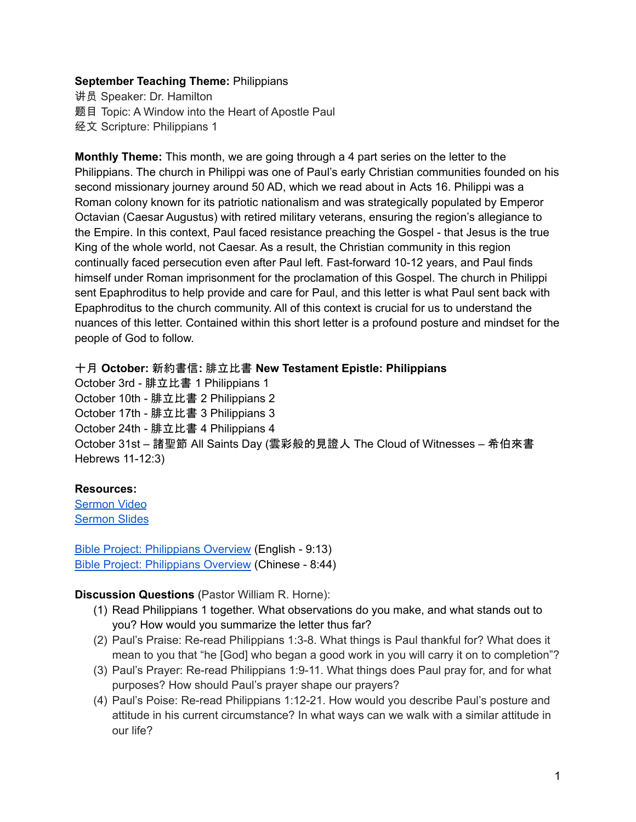## **September Teaching Theme:** Philippians

讲员 Speaker: Dr. Hamilton 题目 Topic: A Window into the Heart of Apostle Paul 经文 Scripture: Philippians 1

**Monthly Theme:** This month, we are going through a 4 part series on the letter to the Philippians. The church in Philippi was one of Paul's early Christian communities founded on his second missionary journey around 50 AD, which we read about in [A](https://ref.ly/logosref/bible$2Bniv.65.16)cts 16. Philippi was a Roman colony known for its patriotic nationalism and was strategically populated by Emperor Octavian (Caesar Augustus) with retired military veterans, ensuring the region's allegiance to the Empire. In this context, Paul faced resistance preaching the Gospel - that Jesus is the true King of the whole world, not Caesar. As a result, the Christian community in this region continually faced persecution even after Paul left. Fast-forward 10-12 years, and Paul finds himself under Roman imprisonment for the proclamation of this Gospel. The church in Philippi sent Epaphroditus to help provide and care for Paul, and this letter is what Paul sent back with Epaphroditus to the church community. All of this context is crucial for us to understand the nuances of this letter. Contained within this short letter is a profound posture and mindset for the people of God to follow.

十月 **October:** 新約書信**:** 腓立比書 **New Testament Epistle: Philippians**

October 3rd - 腓立比書 1 Philippians 1 October 10th - 腓立比書 2 Philippians 2 October 17th - 腓立比書 3 Philippians 3 October 24th - 腓立比書 4 Philippians 4 October 31st – 諸聖節 All Saints Day (雲彩般的見證人 The Cloud of Witnesses – 希伯來書 Hebrews 11-12:3)

## **Resources:**

[Sermon](https://youtu.be/z50PnXJVvI8?t=2585) Video [Sermon](https://docs.google.com/presentation/d/1fWjYbe7OyEg5eQgbwGhOzysfd6T-uOir/edit?usp=sharing&ouid=111022305003760555164&rtpof=true&sd=true) Slides

Bible Project: [Philippians](https://bibleproject.com/explore/video/philippians/) Overview (English - 9:13) Bible Project: [Philippians](https://www.youtube.com/watch?v=Yjgj7Lfm6vM&list=PLE-R0uydm0uMPY7cu-kuEkcPHAM0M9Cby&index=16) Overview (Chinese - 8:44)

**Discussion Questions** (Pastor William R. Horne):

- (1) Read Philippians 1 together. What observations do you make, and what stands out to you? How would you summarize the letter thus far?
- (2) Paul's Praise: Re-read Philippians 1:3-8. What things is Paul thankful for? What does it mean to you that "he [God] who began a good work in you will carry it on to completion"?
- (3) Paul's Prayer: Re-read Philippians 1:9-11. What things does Paul pray for, and for what purposes? How should Paul's prayer shape our prayers?
- (4) Paul's Poise: Re-read Philippians 1:12-21. How would you describe Paul's posture and attitude in his current circumstance? In what ways can we walk with a similar attitude in our life?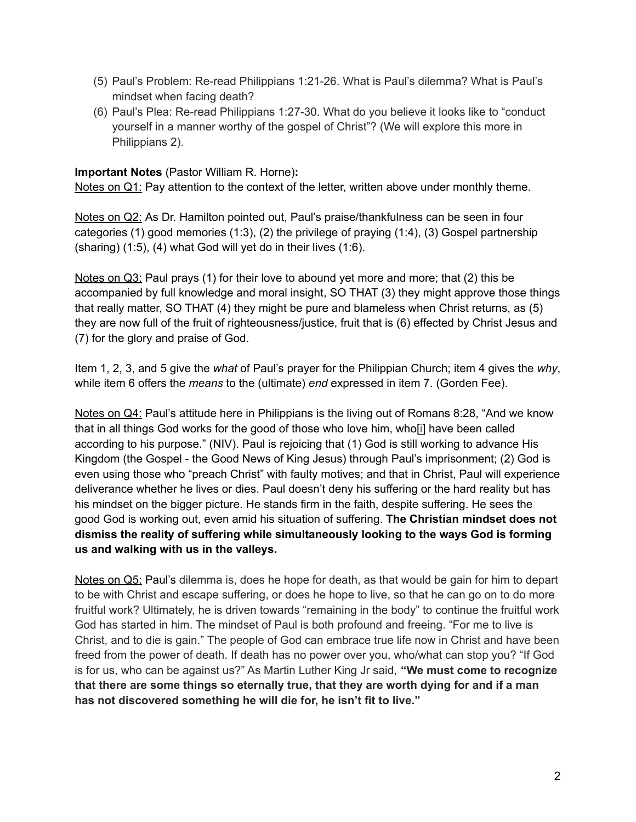- (5) Paul's Problem: Re-read Philippians 1:21-26. What is Paul's dilemma? What is Paul's mindset when facing death?
- (6) Paul's Plea: Re-read Philippians 1:27-30. What do you believe it looks like to "conduct yourself in a manner worthy of the gospel of Christ"? (We will explore this more in Philippians 2).

## **Important Notes** (Pastor William R. Horne)**:**

Notes on Q1: Pay attention to the context of the letter, written above under monthly theme.

Notes on Q2: As Dr. Hamilton pointed out, Paul's praise/thankfulness can be seen in four categories (1) good memories (1:3), (2) the privilege of praying (1:4), (3) Gospel partnership (sharing) (1:5), (4) what God will yet do in their lives (1:6).

Notes on Q3: Paul prays (1) for their love to abound yet more and more; that (2) this be accompanied by full knowledge and moral insight, SO THAT (3) they might approve those things that really matter, SO THAT (4) they might be pure and blameless when Christ returns, as (5) they are now full of the fruit of righteousness/justice, fruit that is (6) effected by Christ Jesus and (7) for the glory and praise of God.

Item 1, 2, 3, and 5 give the *what* of Paul's prayer for the Philippian Church; item 4 gives the *why*, while item 6 offers the *means* to the (ultimate) *end* expressed in item 7. (Gorden Fee).

Notes on Q4: Paul's attitude here in Philippians is the living out of Romans 8:28, "And we know that in all things God works for the good of those who love him, who[\[i\]](https://www.biblegateway.com/passage/?search=Romans%208&version=NIV#fen-NIV-28145i) have been called according to his purpose." (NIV). Paul is rejoicing that (1) God is still working to advance His Kingdom (the Gospel - the Good News of King Jesus) through Paul's imprisonment; (2) God is even using those who "preach Christ" with faulty motives; and that in Christ, Paul will experience deliverance whether he lives or dies. Paul doesn't deny his suffering or the hard reality but has his mindset on the bigger picture. He stands firm in the faith, despite suffering. He sees the good God is working out, even amid his situation of suffering. **The Christian mindset does not dismiss the reality of suffering while simultaneously looking to the ways God is forming us and walking with us in the valleys.**

Notes on Q5: Paul's dilemma is, does he hope for death, as that would be gain for him to depart to be with Christ and escape suffering, or does he hope to live, so that he can go on to do more fruitful work? Ultimately, he is driven towards "remaining in the body" to continue the fruitful work God has started in him. The mindset of Paul is both profound and freeing. "For me to live is Christ, and to die is gain." The people of God can embrace true life now in Christ and have been freed from the power of death. If death has no power over you, who/what can stop you? "If God is for us, who can be against us?" As Martin Luther King Jr said, **"We must come to recognize that there are some things so eternally true, that they are worth dying for and if a man has not discovered something he will die for, he isn't fit to live."**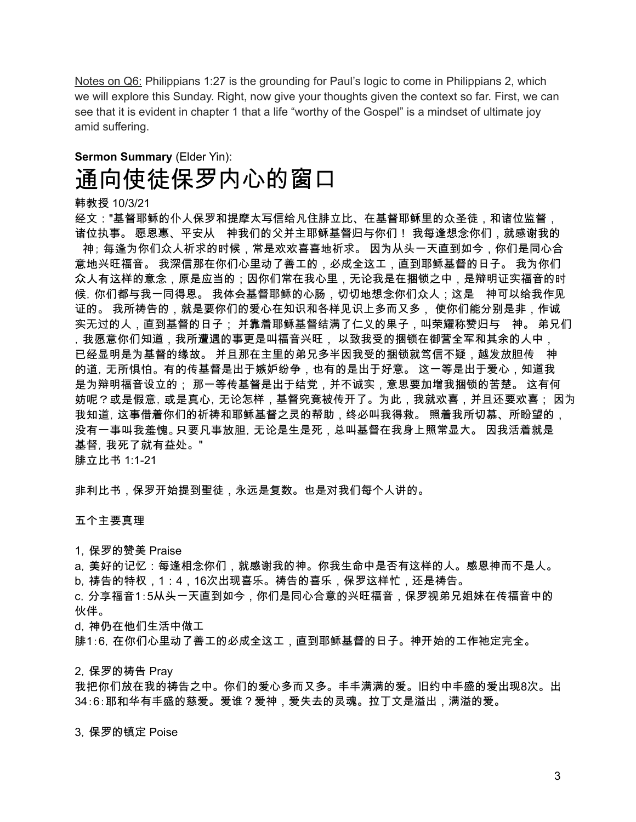Notes on Q6: Philippians 1:27 is the grounding for Paul's logic to come in Philippians 2, which we will explore this Sunday. Right, now give your thoughts given the context so far. First, we can see that it is evident in chapter 1 that a life "worthy of the Gospel" is a mindset of ultimate joy amid suffering.

## **Sermon Summary** (Elder Yin): 通向使徒保罗内心的窗口

韩教授 10/3/21

经文:"基督耶稣的仆人保罗和提摩太写信给凡住腓立比、在基督耶稣里的众圣徒,和诸位监督, 诸位执事。 愿恩惠、平安从 神我们的父并主耶稣基督归与你们! 我每逢想念你们,就感谢我的 神; 每逢为你们众人祈求的时候,常是欢欢喜喜地祈求。 因为从头一天直到如今,你们是同心合 意地兴旺福音。 我深信那在你们心里动了善工的,必成全这工,直到耶稣基督的日子。 我为你们 众人有这样的意念,原是应当的;因你们常在我心里,无论我是在捆锁之中,是辩明证实福音的时 候, 你们都与我一同得恩。 我体会基督耶稣的心肠,切切地想念你们众人;这是 神可以给我作见 证的。 我所祷告的,就是要你们的爱心在知识和各样见识上多而又多, 使你们能分别是非,作诚 实无过的人,直到基督的日子; 并靠着耶稣基督结满了仁义的果子,叫荣耀称赞归与 神。 弟兄们 ,我愿意你们知道,我所遭遇的事更是叫福音兴旺, 以致我受的捆锁在御营全军和其余的人中, 已经显明是为基督的缘故。 并且那在主里的弟兄多半因我受的捆锁就笃信不疑,越发放胆传 神 的道,无所惧怕。有的传基督是出于嫉妒纷争,也有的是出于好意。 这一等是出于爱心,知道我 是为辩明福音设立的; 那一等传基督是出于结党,并不诚实,意思要加增我捆锁的苦楚。 这有何 妨呢?或是假意,或是真心,无论怎样,基督究竟被传开了。为此,我就欢喜,并且还要欢喜; 因为 我知道,这事借着你们的祈祷和耶稣基督之灵的帮助,终必叫我得救。 照着我所切慕、所盼望的, 没有一事叫我羞愧。只要凡事放胆,无论是生是死,总叫基督在我身上照常显大。 因我活着就是 基督,我死了就有益处。" 腓立比书 1:1-21

非利比书,保罗开始提到聖徒,永远是复数。也是对我们每个人讲的。

五个主要真理

1,保罗的赞美 Praise

a,美好的记忆:每逢相念你们,就感谢我的神。你我生命中是否有这样的人。感恩神而不是人。 b,祷告的特权,1:4,16次出现喜乐。祷告的喜乐,保罗这样忙,还是祷告。

c,分享福音1:5从头一天直到如今,你们是同心合意的兴旺福音,保罗视弟兄姐妹在传福音中的 伙伴。

d,神仍在他们生活中做工

腓1:6, 在你们心里动了善工的必成全这工,直到耶稣基督的日子。神开始的工作祂定完全。

2,保罗的祷告 Pray

我把你们放在我的祷告之中。你们的爱心多而又多。丰丰满满的爱。旧约中丰盛的爱出现8次。出 34:6:耶和华有丰盛的慈爱。爱谁?爱神,爱失去的灵魂。拉丁文是溢出,满溢的爱。

3,保罗的镇定 Poise